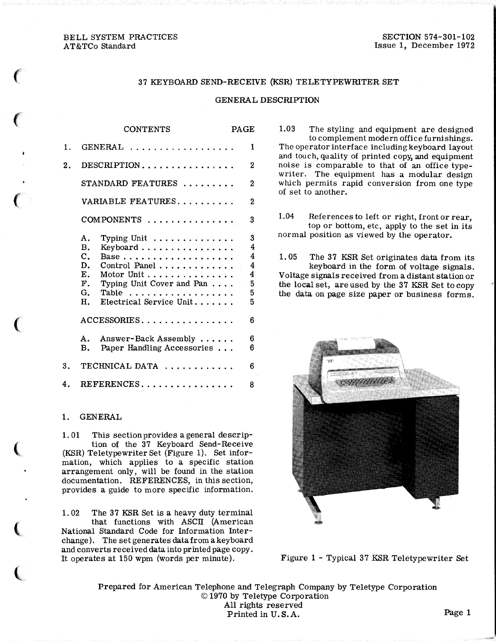### BELL SYSTEM PRACTICES AT&TCo Standard

 $\mathbf{f}$ 

 $\epsilon$ 

 $\epsilon$ 

 $\big($ 

 $\overline{\mathbf{C}}$ 

 $\mathbf{C}$ 

 $\overline{\mathbf{C}}$ 

### 37 KEYBOARD SEND-RECEIVE (KSR) TELETYPEWRITER SET

#### GENERAL DESCRIPTION

|    | <b>CONTENTS</b>                                                                                                                                                                                                                                                                     | PAGE |                                                                              |
|----|-------------------------------------------------------------------------------------------------------------------------------------------------------------------------------------------------------------------------------------------------------------------------------------|------|------------------------------------------------------------------------------|
| 1. | GENERAL                                                                                                                                                                                                                                                                             |      | 1                                                                            |
| 2. | $\text{DESCRIPTION} \dots \dots \dots \dots \dots \dots$                                                                                                                                                                                                                            |      | 2                                                                            |
|    | STANDARD FEATURES                                                                                                                                                                                                                                                                   |      | 2                                                                            |
|    | VARIABLE FEATURES                                                                                                                                                                                                                                                                   |      | $\mathbf 2$                                                                  |
|    | $COMPONENTS$                                                                                                                                                                                                                                                                        |      | 3                                                                            |
|    | Typing Unit $\ldots \ldots \ldots \ldots$<br>А.<br><b>B.</b><br>Keyboard $\dots\dots\dots\dots\dots\dots$<br>$\mathbf{C}$ .<br>D.<br>Control Panel<br>E.<br>Motor Unit $\dots \dots \dots \dots \dots$<br>F. Typing Unit Cover and Pan<br>G. Table<br>Electrical Service Unit<br>H. |      | $\bf{3}$<br>4<br>$\overline{4}$<br>$\overline{\mathbf{4}}$<br>$-5$<br>5<br>5 |
|    | ${\bf ACCESSORIES.}\dots\dots\dots\dots\dots\dots\,.$                                                                                                                                                                                                                               |      | 6                                                                            |
|    | Answer-Back Assembly<br>A.,<br>Paper Handling Accessories<br>в.                                                                                                                                                                                                                     |      | 6<br>6                                                                       |
| 3. | TECHNICAL DATA                                                                                                                                                                                                                                                                      |      | 6                                                                            |
| 4. | $\texttt{REFERENCES}\dots\dots\dots\dots\dots\dots$                                                                                                                                                                                                                                 |      | 8                                                                            |

#### 1. GENERAL

1. 01 This section provides a general description of the 37 Keyboard Send-Receive (KSR) Teletypewriter Set (Figure 1). Set information, which applies to a specific station arrangement only, will be found in the station documentation. REFERENCES, in this section, provides a guide to more specific information.

1. 02 The 37 KSR Set is a heavy duty terminal that functions with ASCII (American National Standard Code for Information Interchange). The set generates data from a keyboard and converts received data into printed page copy. It operates at 150 wpm (words per minute).

1.03 The styling and equipment are designed to complement modern office furnishings. The operator interface including keyboard layout and touch, quality of printed copy, and equipment noise is comparable to that of an office typewriter. The equipment has a modular design which permits rapid conversion from one type of set to another.

1.04 References to left or right, front or rear, top or bottom, etc, apply to the set in its normal position as viewed by the operator.

1.05 The 37 KSR Set originates data from its keyboard in the form of voltage signals. Voltage signals received from a distant station or the local set, are used by the 37 KSR Set to copy the data on page size paper or business forms.



Figure 1 - Typical 37 KSR Teletypewriter Set

Prepared for American Telephone and Telegraph Company by Teletype Corporation © 1970 by Teletype Corporation All rights reserved Printed in U.S.A. Page 1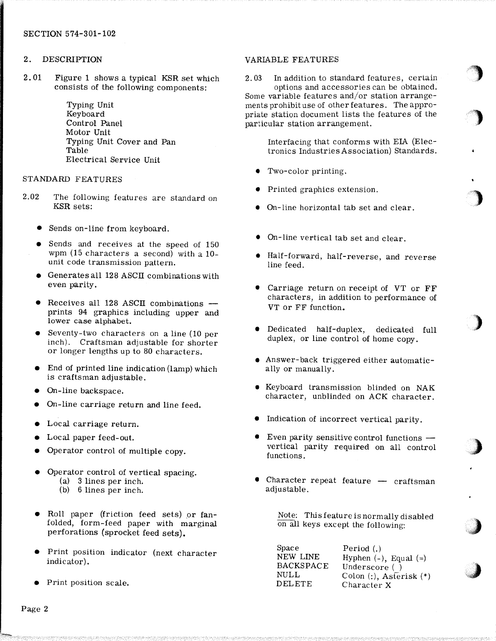# 2. DESCRIPTION

2. 01 Figure 1 shows a typical KSR set which consists of the following components:

> Typing Unit Keyboard Control Panel Motor Unit Typing Unit Cover and Pan Table Electrical Service Unit

# STANDARD FEATURES

- 2.02 The following features are standard on KSR sets:
	- Sends on-line from keyboard.
	- Sends and receives at the speed of 150 wpm (15 characters a second) with a 10 unit code transmission pattern.
	- Generates all 128 ASCII combinations with even parity.
	- Receives all 128 ASCII combinations prints 94 graphics including upper and lower case alphabet.
	- Seventy-two characters on a line (10 per inch). Craftsman adjustable for shorter or longer lengths up to 80 characters.
	- End of printed line indication (lamp) which is craftsman adjustable.
	- On-line backspace.
	- On-line carriage return and line feed.
	- Local carriage return.
	- Local paper feed-out.
	- Operator control of multiple copy.
	- Operator control of vertical spacing. (a) 3 lines per inch.
		- (b) 6 lines per inch.
	- Roll paper (friction feed sets) or fanfolded, form-feed paper with marginal perforations (sprocket feed sets).
	- Print position indicator (next character indicator).
	- Print position scale.

### VARIABLE FEATURES

2. 03 In addition to standard features, certain options and accessories can be obtained. Some variable features and/or station arrangements prohibit use of other features. The appropriate station document lists the features of the particular station arrangement.

> Interfacing that conforms with EIA (Electronics IndustriesAssociation) Standards.

<u>'</u>

)

.)

)

;)

 $\boldsymbol{j}$ 

*,,,)* 

- Two-color printing.
- Printed graphics extension.
- On-line horizontal tab set and clear.
- On-line vertical tab set and clear.
- Half-forward, half-reverse, and reverse line feed.
- Carriage return on receipt of VT or FF characters, in addition to performance of VT or FF function.
- Dedicated half-duplex, dedicated full duplex, or line control of home copy.
- Answer- back triggered either automatically or manually.
- Keyboard transmission blinded on NAK character, unblinded on ACK character.
- Indication of incorrect vertical parity.
- Even parity sensitive control functions  $$ vertical parity required on all control functions.
- Character repeat feature  $-$  craftsman adjustable.

Note: This feature is normally disabled on all keys except the following:

Space NEW LINE **BACKSPACE** NULL DELETE Period (.) Hyphen $(-)$ , Equal $(=)$ Underscore () Colon (:), Asterisk(\*) Character X

Page 2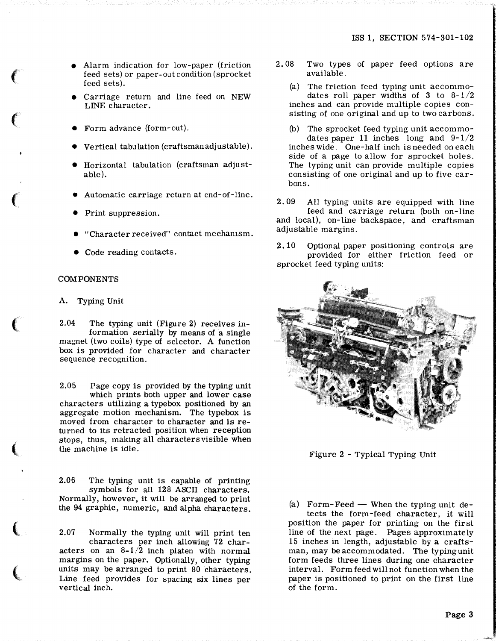- Alarm indication for low-paper (friction feed sets) or paper-out condition (sprocket feed sets).
- Carriage return and line feed on NEW LINE character.
- Form advance (form-out).
- Vertical tabulation (craftsman adjustable).
- Horizontal tabulation (craftsman adjustable).
- Automatic carriage return at end-of-line.
- Print suppression.
- "Character received" contact mechamsm.
- Code reading contacts.

#### COMPONENTS

*(* 

 $\epsilon$ 

 $\mathcal{C}$ 

 $\epsilon$ 

 $\left(\right)$ 

(

 $\left($ 

A. Typing Unit

2.04 The typing unit (Figure 2) receives information serially by means of a single magnet (two coils) type of selector. A function box is provided for character and character sequence recognition.

2.05 Page copy is provided by the typing unit which prints both upper and lower case characters utilizing a typebox positioned by an aggregate motion mechanism. The typebox is moved from character to character and is returned to its retracted position when reception stops, thus, making all characters visible when the machine is idle.

2.06 The typing unit is capable of printing symbols for all 128 ASCII characters. Normally, however, it will be arranged to print the 94 graphic, numeric, and alpha characters.

2.07 Normally the typing unit will print ten characters per inch allowing 72 characters on an  $8-1/2$  inch platen with normal margins on the paper. Optionally, other typing units may be arranged to print 80 characters. Line feed provides for spacing six lines per vertical inch.

- 2. 08 Two types of paper feed options are available.
	- (a) The friction feed typing unit accommodates roll paper widths of 3 to  $8-1/2$ inches and can provide multiple copies consisting of one original and up to two carbons.
	- (b) The sprocket feed typing unit accommodates paper 11 inches long and  $9-1/2$ inches wide. One-half inch is needed on each side of a page to allow for sprocket holes. The typing unit can provide multiple copies consisting of one original and up to five carbons.
- 2. 09 All typing units are equipped with line feed and carriage return (both on-line and local), on-line backspace, and craftsman adjustable margins.

2.10 Optional paper positioning controls are provided for either friction feed or sprocket feed typing units:



Figure 2 - Typical Typing Unit

(a) Form-Feed  $-$  When the typing unit detects the form -feed character, it will position the paper for printing on the first line of the next page. Pages approximately 15 inches in length, adjustable by a craftsman, may be accommodated. The typingunit form feeds three lines during one character interval. Form feed will not function when the paper is positioned to print on the first line of the form.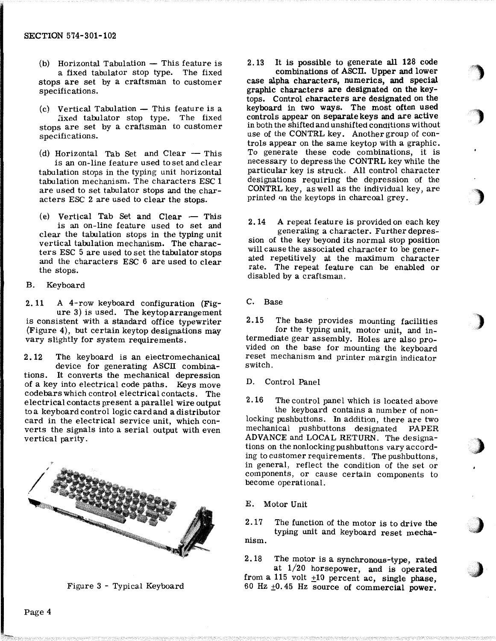- $(b)$  Horizontal Tabulation  $-$  This feature is a fixed tabulator stop type. The fixed stops are set by a craftsman to customer specifications.
- $(c)$  Vertical Tabulation  $-$  This feature is a fixed tabulator stop type. The fixed stops are set by a craftsman to customer specifications.
- (d) Horizontal Tab Set and Clear  $-$  This is an on-line feature used to set and clear tabulation stops in the typing unit horizontal tabulation mechanism. The characters ESC 1 are used to set tabulator stops and the characters ESC 2 are used to clear the stops.
- (e) Vertical Tab Set and Clear  $-$  This is an on-line feature used to set and clear the tabulation stops in the typing unit vertical tabulation mechanism. The characters ESC 5 are used to set the tabulator stops and the characters ESC 6 are used to clear the stops.
- B. Keyboard

2. 11 A 4-row keyboard configuration (Figure 3) is used. The keytoparrangement is consistent with a standard office typewriter (Figure 4), but certain keytop designations may vary slightly for system requirements.

2. 12 The keyboard is an electromechanical device for generating ASCII combinations. It converts the mechanical depression of a key into electrical code paths. Keys move code bars which control electrical contacts. The electrical contacts present a parallel wire output to a keyboard control logic card and a distributor card in the electrical service unit, which converts the signals into a serial output with even vertical parity.



Figure 3 - Typical Keyboard

2. 13 It is possible to generate all 128 code combinations of ASCll. Upper and lower case alpha characters, numerics, and special graphic characters are designated on the keytops. Control characters are designated on the keyboard in two ways. The most often used controls appear on separate keys and are active in both the shifted and unshifted conditions without use of the CONTRL key. Another group of controls appear on the same keytop with a graphic. To generate these code combinations, it is necessary to depress the CONTRL key while the particular key is struck. All control character designations requiring the depression of the CONTRL key, as well as the individual key, are printed 0n the keytops in charcoal grey.

)

)

)

,)

',:J

2. 14 A repeat feature is provided on each key

generating a character. Further depression of the key beyond its normal stop position will cause the associated character to be generated repetitively at the maximum character rate. The repeat feature can be enabled or disabled by a craftsman.

C. Base

2.15 The base provides mounting facilities for the typing unit, motor unit, and intermediate gear assembly. Holes are also provided on the base for mounting the keyboard reset mechanism and printer margin indicator switch.

D. Control Panel

2.16 The control panel which is located above the keyboard contains a number of nonlocking pushbuttons. In addition, there are two mechanical pushbuttons designated PAPER ADVANCE and LOCAL RETURN. The designations on the nonlocking pushbuttons vary according to customer requirements. The pushbuttons, in general, reflect the condition of the set or components, or cause certain components to become operational.

E. Motor Unit

2.17 The function of the motor is to drive the *)*  typing unit and keyboard reset mechanism.

2.18 The motor is a synchronous-type, rated

at 1/20 horsepower, and is operated from a 115 volt  $\pm 10$  percent ac, single phase, 60 Hz  $\pm$ 0.45 Hz source of commercial power.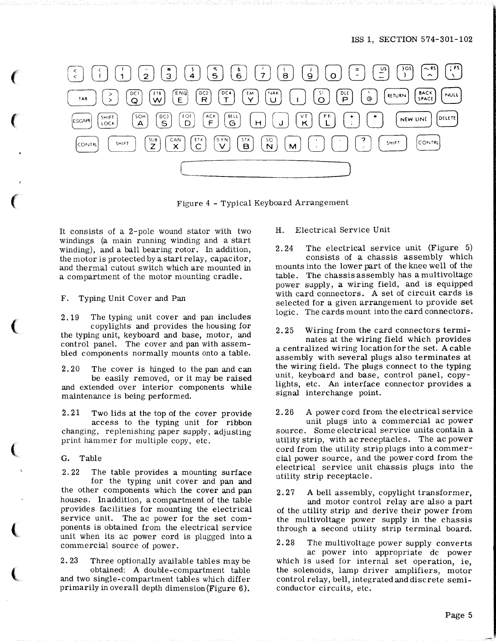

Figure 4 - Typical Keyboard Arrangement

It consists of a 2-pole wound stator with two windings (a main running winding and a start winding), and a ball bearing rotor. In addition, the motor is protected by a start relay, capacitor, and thermal cutout switch which are mounted in a compartment of the motor mounting cradle.

F. Typing Unit Cover and Pan

2. 19 The typing unit cover and pan includes copylights and provides the housing for the typing unit, keyboard and base, motor, and control panel. The cover and pan with assembled components normally mounts onto a table.

2. 20 The cover is hinged to the pan and can be easily removed, or it may be raised and extended over interior components while maintenance is being performed.

2. 21 Two lids at the top of the cover provide access to the typing unit for ribbon changing, replenishing paper supply, adjusting print hammer for multiple copy, etc.

G. Table

*(* 

 $\epsilon$ 

 $\epsilon$ 

 $\big($ 

 $\left($ 

 $\left($ 

 $\overline{\mathbf{C}}$ 

2.22 The table provides a mounting surface for the typing unit cover and pan and the other components which the cover and pan houses. In addition, a compartment of the table provides facilities for mounting the electrical service unit. The ac power for the set components is obtained from the electrical service unit when its ac power cord is plugged into a commercial source of power.

2. 23 Three optionally available tables may be obtained: A double-compartment table and two single-compartment tables which differ primarily in overall depth dimension (Figure 6 ).

H. Electrical Service Unit

2. 24 The electrical service unit (Figure 5) consists of a chassis assembly which mounts into the lower part of the knee well of the table. The chassis assembly has a multivoltage power supply, a wiring field, and is equipped with card connectors. A set of circuit cards is selected for a given arrangement to provide set logic. The cards mount into the card connectors.

2. 25 Wiring from the card connectors terminates at the wiring field which provides a centralized wiring location for the set. A cable assembly with several plugs also terminates at the wiring field. The plugs connect to the typing unit, keyboard and base, control panel, copylights, etc. An interface connector provides a signal interchange point.

2. 26 A power cord from the electrical service unit plugs into a commercial ac power source. Some electrical service units contain a utility strip, with ac receptacles. The ac power cord from the utility strip plugs into a commercial power source, and the power cord from the electrical service unit chassis plugs into the utility strip receptacle.

2. 27 A bell assembly, copylight transformer, and motor control relay are also a part of the utility strip and derive their power from the multivoltage power supply in the chassis through a second utility strip terminal board.

2. 28 The multivoltage power supply converts ac power into appropriate de power which is used for internal set operation, ie, the solenoids, lamp driver amplifiers, motor control relay, bell, integrated and discrete semiconductor circuits, etc.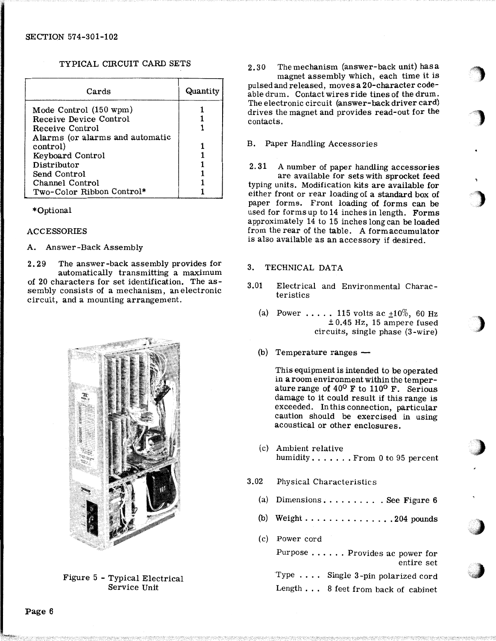## TYPICAL CIRCUIT CARD SETS

| Cards                           | Quantity |
|---------------------------------|----------|
| Mode Control (150 wpm)          |          |
| <b>Receive Device Control</b>   |          |
| Receive Control                 |          |
| Alarms (or alarms and automatic |          |
| control)                        |          |
| Keyboard Control                |          |
| Distributor                     |          |
| Send Control                    |          |
| Channel Control                 |          |
| Two-Color Ribbon Control*       |          |

### \*Optional

### ACCESSORIES

### A. Answer-Back Assembly

2. 29 The answer-back assembly provides for automatically transmitting a maximum of 20 characters for set identification. The assembly consists of a mechanism, anelectronic circuit, and a mounting arrangement.



Figure 5 - Typical Electrical Service Unit

2.30 Themechanism (answer-back unit) hasa magnet assembly which, each time it is pulsed and released, moves a 20-character codeable drum. Contact wires ride tines of the drum. The electronic circuit (answer-back driver card) drives the magnet and provides read-out for the contacts.

'")

**")** 

)

)<br>-<br>3 '

#### B. Paper Handling Accessories

2. 31 A number of paper handling accessories are available for sets with sprocket feed typing units. Modification kits are available for either front or rear loading of a standard box of paper forms. Front loading of forms can be used for forms up to 14 inches in length. Forms approximately 14 to 15 inches long can be loaded from the rear of the table. A form accumulator is also available as an accessory if desired.

### 3. TECHNICAL DATA

- 3.01 Electrical and Environmental Characteristics
	- (a) Power ..... 115 volts ac  $\pm 10\%$ , 60 Hz  $± 0.45$  Hz, 15 ampere fused circuits, single phase (3 -wire) ·
	- $(b)$  Temperature ranges  $-$

This equipment is intended to be operated in a room environment within the temperature range of  $40^{\circ}$  F to  $110^{\circ}$  F. Serious damage to it could result if this range is exceeded. In this connection, particular caution should be exercised in using acoustical or other enclosures.

- (c) Ambient relative ) humidity.......From 0 to 95 percent
- 3.02 Physical Characteristics
	- (a) Dimensions . . . . . . . . . See Figure  $6$
	- (b) Weight  $\dots \dots \dots \dots \dots$  204 pounds
	- (c) Power cord

Purpose ...... Provides ac power for entire set Type . . . . Single 3 -pin polarized cord

Length . . . 8 feet from back of cabinet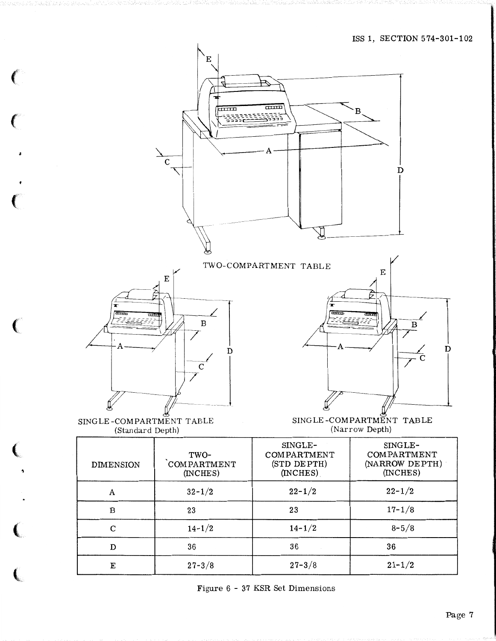

Figure 6 - 37 KSR Set Dimensions